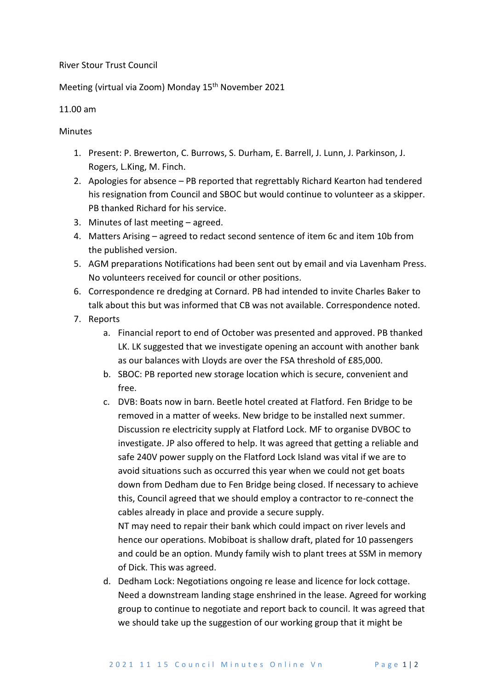## River Stour Trust Council

## Meeting (virtual via Zoom) Monday 15<sup>th</sup> November 2021

## 11.00 am

## Minutes

- 1. Present: P. Brewerton, C. Burrows, S. Durham, E. Barrell, J. Lunn, J. Parkinson, J. Rogers, L.King, M. Finch.
- 2. Apologies for absence PB reported that regrettably Richard Kearton had tendered his resignation from Council and SBOC but would continue to volunteer as a skipper. PB thanked Richard for his service.
- 3. Minutes of last meeting agreed.
- 4. Matters Arising agreed to redact second sentence of item 6c and item 10b from the published version.
- 5. AGM preparations Notifications had been sent out by email and via Lavenham Press. No volunteers received for council or other positions.
- 6. Correspondence re dredging at Cornard. PB had intended to invite Charles Baker to talk about this but was informed that CB was not available. Correspondence noted.
- 7. Reports
	- a. Financial report to end of October was presented and approved. PB thanked LK. LK suggested that we investigate opening an account with another bank as our balances with Lloyds are over the FSA threshold of £85,000.
	- b. SBOC: PB reported new storage location which is secure, convenient and free.
	- c. DVB: Boats now in barn. Beetle hotel created at Flatford. Fen Bridge to be removed in a matter of weeks. New bridge to be installed next summer. Discussion re electricity supply at Flatford Lock. MF to organise DVBOC to investigate. JP also offered to help. It was agreed that getting a reliable and safe 240V power supply on the Flatford Lock Island was vital if we are to avoid situations such as occurred this year when we could not get boats down from Dedham due to Fen Bridge being closed. If necessary to achieve this, Council agreed that we should employ a contractor to re-connect the cables already in place and provide a secure supply. NT may need to repair their bank which could impact on river levels and

hence our operations. Mobiboat is shallow draft, plated for 10 passengers and could be an option. Mundy family wish to plant trees at SSM in memory of Dick. This was agreed.

d. Dedham Lock: Negotiations ongoing re lease and licence for lock cottage. Need a downstream landing stage enshrined in the lease. Agreed for working group to continue to negotiate and report back to council. It was agreed that we should take up the suggestion of our working group that it might be